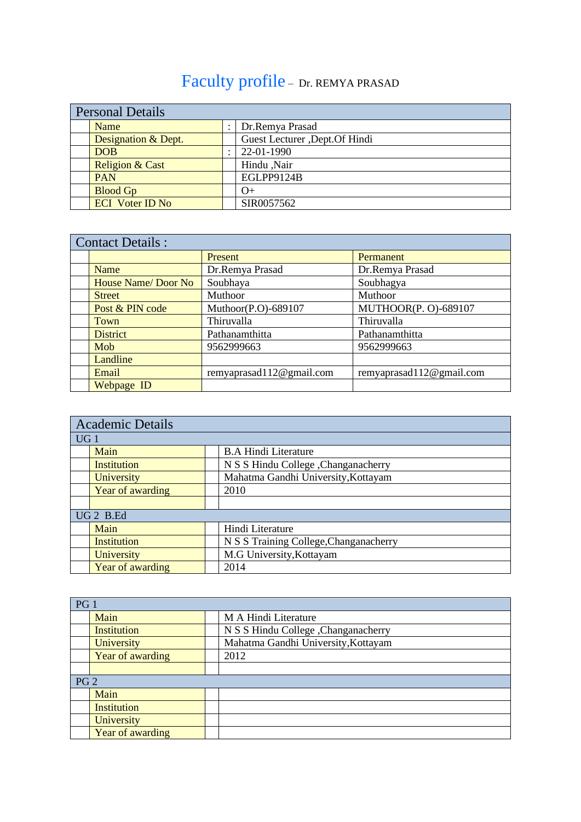## Faculty profile – Dr. REMYA PRASAD

| <b>Personal Details</b>    |  |                                 |  |  |
|----------------------------|--|---------------------------------|--|--|
| Name                       |  | Dr.Remya Prasad                 |  |  |
| Designation & Dept.        |  | Guest Lecturer , Dept. Of Hindi |  |  |
| <b>DOB</b>                 |  | 22-01-1990                      |  |  |
| <b>Religion &amp; Cast</b> |  | Hindu ,Nair                     |  |  |
| <b>PAN</b>                 |  | EGLPP9124B                      |  |  |
| <b>Blood Gp</b>            |  | $O+$                            |  |  |
| <b>ECI</b> Voter ID No     |  | SIR0057562                      |  |  |

| <b>Contact Details:</b> |                              |                          |  |  |  |  |  |
|-------------------------|------------------------------|--------------------------|--|--|--|--|--|
|                         | Present                      | Permanent                |  |  |  |  |  |
| Name                    | Dr.Remya Prasad              | Dr.Remya Prasad          |  |  |  |  |  |
| House Name/Door No      | Soubhaya                     | Soubhagya                |  |  |  |  |  |
| <b>Street</b>           | Muthoor                      | Muthoor                  |  |  |  |  |  |
| Post & PIN code         | Muthoor(P.O)-689107          | MUTHOOR(P. O)-689107     |  |  |  |  |  |
| Town                    | Thiruvalla                   | Thiruvalla               |  |  |  |  |  |
| <b>District</b>         | Pathanamthitta               | Pathanamthitta           |  |  |  |  |  |
| Mob                     | 9562999663                   | 9562999663               |  |  |  |  |  |
| Landline                |                              |                          |  |  |  |  |  |
| Email                   | remyaprasad $112@$ gmail.com | remyaprasad112@gmail.com |  |  |  |  |  |
| Webpage ID              |                              |                          |  |  |  |  |  |

|                 | <b>Academic Details</b> |                                        |  |  |
|-----------------|-------------------------|----------------------------------------|--|--|
| UG <sub>1</sub> |                         |                                        |  |  |
|                 | Main                    | <b>B.A Hindi Literature</b>            |  |  |
|                 | <b>Institution</b>      | N S S Hindu College, Changanacherry    |  |  |
|                 | University              | Mahatma Gandhi University, Kottayam    |  |  |
|                 | Year of awarding        | 2010                                   |  |  |
|                 |                         |                                        |  |  |
|                 | UG <sub>2</sub> B.Ed    |                                        |  |  |
|                 | Main                    | Hindi Literature                       |  |  |
|                 | <b>Institution</b>      | N S S Training College, Changanacherry |  |  |
|                 | University              | M.G University, Kottayam               |  |  |
|                 | Year of awarding        | 2014                                   |  |  |

|      | PG 1               |  |                                      |  |
|------|--------------------|--|--------------------------------------|--|
|      | Main               |  | M A Hindi Literature                 |  |
|      | <b>Institution</b> |  | N S S Hindu College , Changanacherry |  |
|      | University         |  | Mahatma Gandhi University, Kottayam  |  |
|      | Year of awarding   |  | 2012                                 |  |
|      |                    |  |                                      |  |
| PG 2 |                    |  |                                      |  |
|      | Main               |  |                                      |  |
|      | <b>Institution</b> |  |                                      |  |
|      | University         |  |                                      |  |
|      | Year of awarding   |  |                                      |  |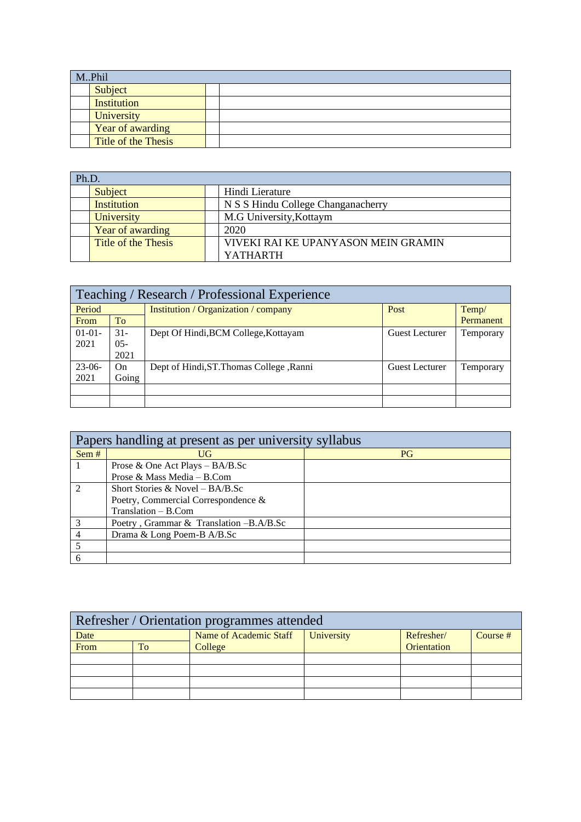| M.Phil              |  |  |  |  |  |
|---------------------|--|--|--|--|--|
| Subject             |  |  |  |  |  |
| <b>Institution</b>  |  |  |  |  |  |
| University          |  |  |  |  |  |
| Year of awarding    |  |  |  |  |  |
| Title of the Thesis |  |  |  |  |  |

| Ph.D.               |                                     |  |  |  |
|---------------------|-------------------------------------|--|--|--|
| <b>Subject</b>      | Hindi Lierature                     |  |  |  |
| <b>Institution</b>  | N S S Hindu College Changanacherry  |  |  |  |
| University          | M.G University, Kottaym             |  |  |  |
| Year of awarding    | 2020                                |  |  |  |
| Title of the Thesis | VIVEKI RAI KE UPANYASON MEIN GRAMIN |  |  |  |
|                     | <b>YATHARTH</b>                     |  |  |  |

|             | Teaching / Research / Professional Experience |                                          |                       |           |  |  |  |  |
|-------------|-----------------------------------------------|------------------------------------------|-----------------------|-----------|--|--|--|--|
| Period      |                                               | Institution / Organization / company     | Post                  | Temp/     |  |  |  |  |
| From        | <b>To</b>                                     |                                          |                       | Permanent |  |  |  |  |
| $01 - 01 -$ | $31 -$                                        | Dept Of Hindi, BCM College, Kottayam     | <b>Guest Lecturer</b> | Temporary |  |  |  |  |
| 2021        | $0.5 -$                                       |                                          |                       |           |  |  |  |  |
|             | 2021                                          |                                          |                       |           |  |  |  |  |
| $23-06-$    | On                                            | Dept of Hindi, ST. Thomas College, Ranni | <b>Guest Lecturer</b> | Temporary |  |  |  |  |
| 2021        | Going                                         |                                          |                       |           |  |  |  |  |
|             |                                               |                                          |                       |           |  |  |  |  |
|             |                                               |                                          |                       |           |  |  |  |  |

|      | Papers handling at present as per university syllabus |           |  |  |  |  |  |
|------|-------------------------------------------------------|-----------|--|--|--|--|--|
| Sem# | UG                                                    | <b>PG</b> |  |  |  |  |  |
|      | Prose & One Act Plays - BA/B.Sc                       |           |  |  |  |  |  |
|      | Prose & Mass Media $- B$ .Com                         |           |  |  |  |  |  |
|      | Short Stories & Novel $-$ BA/B.Sc                     |           |  |  |  |  |  |
|      | Poetry, Commercial Correspondence &                   |           |  |  |  |  |  |
|      | $Translation - B. Com$                                |           |  |  |  |  |  |
|      | Poetry, Grammar & Translation $-B.A/B.Sc$             |           |  |  |  |  |  |
|      | Drama & Long Poem-B A/B.Sc                            |           |  |  |  |  |  |
|      |                                                       |           |  |  |  |  |  |
|      |                                                       |           |  |  |  |  |  |

| Refresher / Orientation programmes attended |  |                        |            |             |          |  |  |
|---------------------------------------------|--|------------------------|------------|-------------|----------|--|--|
| Date                                        |  | Name of Academic Staff | University | Refresher/  | Course # |  |  |
| From<br>To                                  |  | College                |            | Orientation |          |  |  |
|                                             |  |                        |            |             |          |  |  |
|                                             |  |                        |            |             |          |  |  |
|                                             |  |                        |            |             |          |  |  |
|                                             |  |                        |            |             |          |  |  |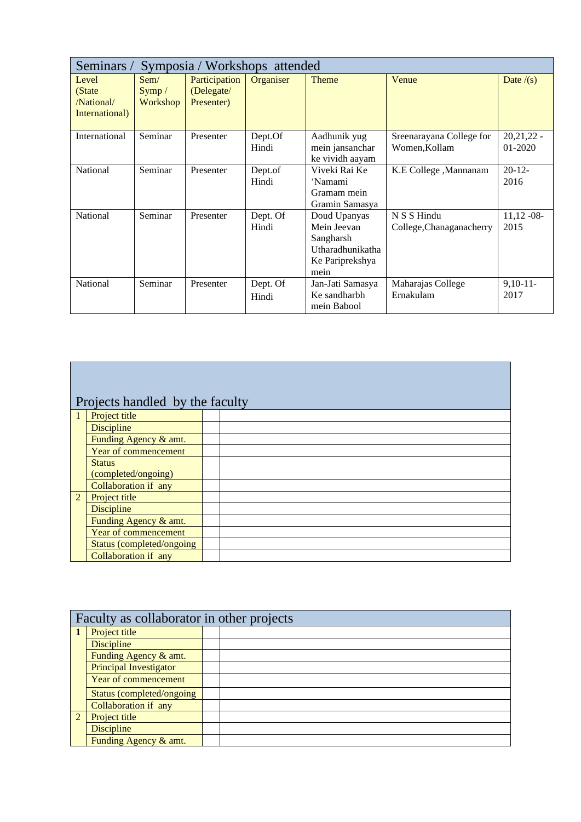|                                                  | Symposia / Workshops attended<br>Seminars / |                                           |                   |                                                                                         |                                           |                         |  |  |  |
|--------------------------------------------------|---------------------------------------------|-------------------------------------------|-------------------|-----------------------------------------------------------------------------------------|-------------------------------------------|-------------------------|--|--|--|
| Level<br>(State)<br>/National/<br>International) | Sem/<br>Symp /<br>Workshop                  | Participation<br>(Delegate/<br>Presenter) | Organiser         | <b>Theme</b>                                                                            | Venue                                     | Date $/(s)$             |  |  |  |
| International                                    | Seminar                                     | Presenter                                 | Dept.Of<br>Hindi  | Aadhunik yug<br>mein jansanchar<br>ke vividh aayam                                      | Sreenarayana College for<br>Women, Kollam | $20,21,22 -$<br>01-2020 |  |  |  |
| National                                         | Seminar                                     | Presenter                                 | Dept.of<br>Hindi  | Viveki Rai Ke<br>'Namami<br>Gramam mein<br>Gramin Samasya                               | K.E College, Mannanam                     | $20 - 12$<br>2016       |  |  |  |
| <b>National</b>                                  | Seminar                                     | Presenter                                 | Dept. Of<br>Hindi | Doud Upanyas<br>Mein Jeevan<br>Sangharsh<br>Utharadhunikatha<br>Ke Pariprekshya<br>mein | N S S Hindu<br>College, Chanaganacherry   | $11,12 -08$ -<br>2015   |  |  |  |
| National                                         | Seminar                                     | Presenter                                 | Dept. Of<br>Hindi | Jan-Jati Samasya<br>Ke sandharbh<br>mein Babool                                         | Maharajas College<br>Ernakulam            | $9,10-11-$<br>2017      |  |  |  |

|                | Projects handled by the faculty |  |
|----------------|---------------------------------|--|
|                | Project title                   |  |
|                | <b>Discipline</b>               |  |
|                | Funding Agency & amt.           |  |
|                | Year of commencement            |  |
|                | <b>Status</b>                   |  |
|                | (completed/ongoing)             |  |
|                | Collaboration if any            |  |
| $\overline{2}$ | Project title                   |  |
|                | <b>Discipline</b>               |  |
|                | Funding Agency & amt.           |  |
|                | Year of commencement            |  |
|                | Status (completed/ongoing       |  |
|                | Collaboration if any            |  |

|               | Faculty as collaborator in other projects |  |  |  |  |  |  |
|---------------|-------------------------------------------|--|--|--|--|--|--|
|               | Project title                             |  |  |  |  |  |  |
|               | <b>Discipline</b>                         |  |  |  |  |  |  |
|               | Funding Agency & amt.                     |  |  |  |  |  |  |
|               | <b>Principal Investigator</b>             |  |  |  |  |  |  |
|               | Year of commencement                      |  |  |  |  |  |  |
|               | Status (completed/ongoing                 |  |  |  |  |  |  |
|               | Collaboration if any                      |  |  |  |  |  |  |
| $\mathcal{L}$ | Project title                             |  |  |  |  |  |  |
|               | <b>Discipline</b>                         |  |  |  |  |  |  |
|               | Funding Agency & amt.                     |  |  |  |  |  |  |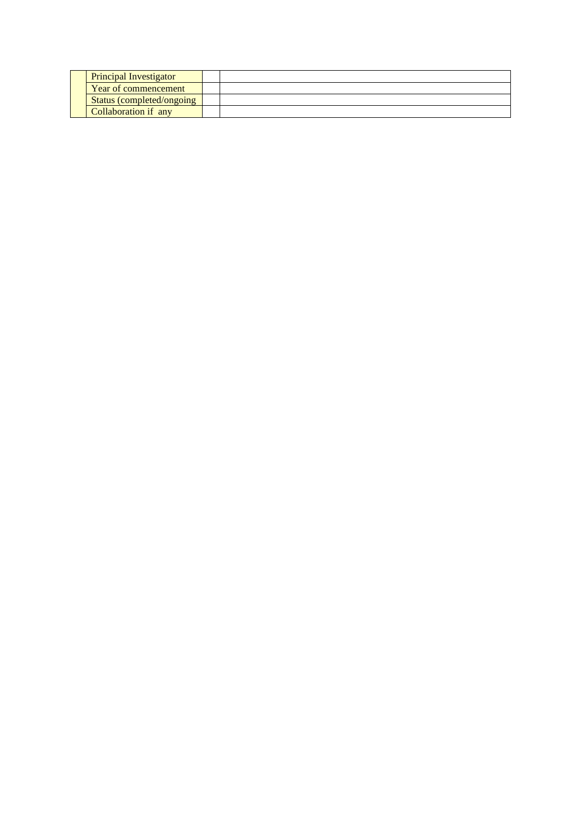| <b>Principal Investigator</b> |  |
|-------------------------------|--|
| Year of commencement          |  |
| Status (completed/ongoing)    |  |
| Collaboration if any          |  |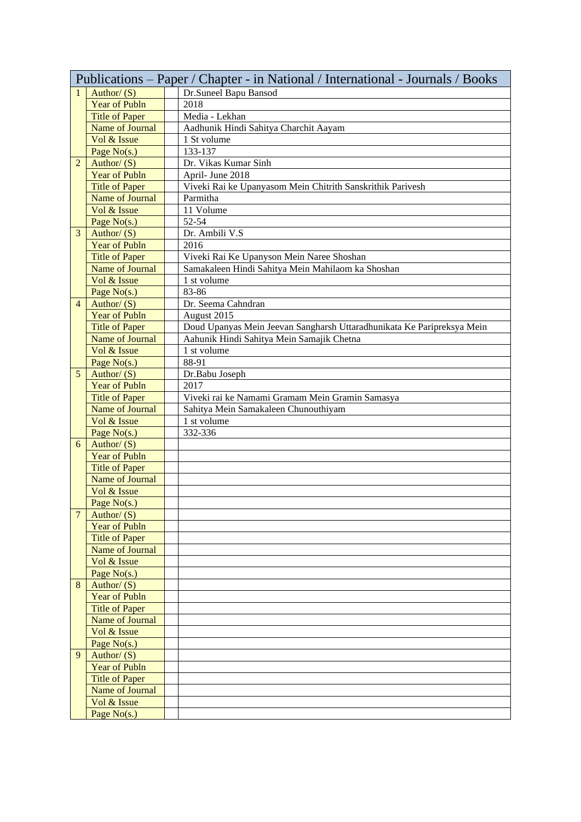|                |                              | Publications – Paper / Chapter - in National / International - Journals / Books |  |  |  |  |  |
|----------------|------------------------------|---------------------------------------------------------------------------------|--|--|--|--|--|
| $\mathbf{1}$   | Author/ $(S)$                | Dr.Suneel Bapu Bansod                                                           |  |  |  |  |  |
|                | <b>Year of Publn</b><br>2018 |                                                                                 |  |  |  |  |  |
|                | <b>Title of Paper</b>        | Media - Lekhan                                                                  |  |  |  |  |  |
|                | Name of Journal              | Aadhunik Hindi Sahitya Charchit Aayam                                           |  |  |  |  |  |
|                | Vol & Issue                  | 1 St volume                                                                     |  |  |  |  |  |
|                | Page No(s.)                  | 133-137                                                                         |  |  |  |  |  |
| $\overline{2}$ | Author/ $(S)$                | Dr. Vikas Kumar Sinh                                                            |  |  |  |  |  |
|                | <b>Year of Publn</b>         | April- June 2018                                                                |  |  |  |  |  |
|                | <b>Title of Paper</b>        | Viveki Rai ke Upanyasom Mein Chitrith Sanskrithik Parivesh                      |  |  |  |  |  |
|                | Name of Journal              | Parmitha                                                                        |  |  |  |  |  |
|                | Vol & Issue                  | 11 Volume                                                                       |  |  |  |  |  |
|                | Page No(s.)                  | 52-54                                                                           |  |  |  |  |  |
| $\overline{3}$ | Author/ $(S)$                | Dr. Ambili V.S                                                                  |  |  |  |  |  |
|                | <b>Year of Publn</b>         | 2016                                                                            |  |  |  |  |  |
|                | <b>Title of Paper</b>        | Viveki Rai Ke Upanyson Mein Naree Shoshan                                       |  |  |  |  |  |
|                | Name of Journal              | Samakaleen Hindi Sahitya Mein Mahilaom ka Shoshan                               |  |  |  |  |  |
|                | Vol & Issue                  | 1 st volume                                                                     |  |  |  |  |  |
|                | Page No(s.)                  | 83-86                                                                           |  |  |  |  |  |
| $\overline{4}$ | Author/ $(S)$                | Dr. Seema Cahndran                                                              |  |  |  |  |  |
|                | <b>Year of Publn</b>         | August 2015                                                                     |  |  |  |  |  |
|                | <b>Title of Paper</b>        | Doud Upanyas Mein Jeevan Sangharsh Uttaradhunikata Ke Paripreksya Mein          |  |  |  |  |  |
|                | Name of Journal              | Aahunik Hindi Sahitya Mein Samajik Chetna                                       |  |  |  |  |  |
|                | Vol & Issue                  | 1 st volume                                                                     |  |  |  |  |  |
|                | Page No(s.)                  | 88-91                                                                           |  |  |  |  |  |
| 5              | Author/ $(S)$                | Dr.Babu Joseph                                                                  |  |  |  |  |  |
|                | <b>Year of Publn</b>         | 2017                                                                            |  |  |  |  |  |
|                | <b>Title of Paper</b>        | Viveki rai ke Namami Gramam Mein Gramin Samasya                                 |  |  |  |  |  |
|                | Name of Journal              | Sahitya Mein Samakaleen Chunouthiyam                                            |  |  |  |  |  |
|                | Vol & Issue                  | 1 st volume                                                                     |  |  |  |  |  |
|                | Page No(s.)                  | 332-336                                                                         |  |  |  |  |  |
| 6              | Author/ $(S)$                |                                                                                 |  |  |  |  |  |
|                | <b>Year of Publn</b>         |                                                                                 |  |  |  |  |  |
|                | <b>Title of Paper</b>        |                                                                                 |  |  |  |  |  |
|                | Name of Journal              |                                                                                 |  |  |  |  |  |
|                | Vol & Issue                  |                                                                                 |  |  |  |  |  |
|                | Page No(s.)                  |                                                                                 |  |  |  |  |  |
| 7              | Author/ $(S)$                |                                                                                 |  |  |  |  |  |
|                | <b>Year of Publn</b>         |                                                                                 |  |  |  |  |  |
|                | <b>Title of Paper</b>        |                                                                                 |  |  |  |  |  |
|                | Name of Journal              |                                                                                 |  |  |  |  |  |
|                | Vol & Issue                  |                                                                                 |  |  |  |  |  |
|                | Page No(s.)                  |                                                                                 |  |  |  |  |  |
| 8              | Author/ $(S)$                |                                                                                 |  |  |  |  |  |
|                | <b>Year of Publn</b>         |                                                                                 |  |  |  |  |  |
|                | <b>Title of Paper</b>        |                                                                                 |  |  |  |  |  |
|                | Name of Journal              |                                                                                 |  |  |  |  |  |
|                | Vol & Issue                  |                                                                                 |  |  |  |  |  |
|                | Page $No(s.)$                |                                                                                 |  |  |  |  |  |
| 9              | Author/ $(S)$                |                                                                                 |  |  |  |  |  |
|                | <b>Year of Publn</b>         |                                                                                 |  |  |  |  |  |
|                | <b>Title of Paper</b>        |                                                                                 |  |  |  |  |  |
|                | Name of Journal              |                                                                                 |  |  |  |  |  |
|                | Vol & Issue                  |                                                                                 |  |  |  |  |  |
|                | Page $No(s.)$                |                                                                                 |  |  |  |  |  |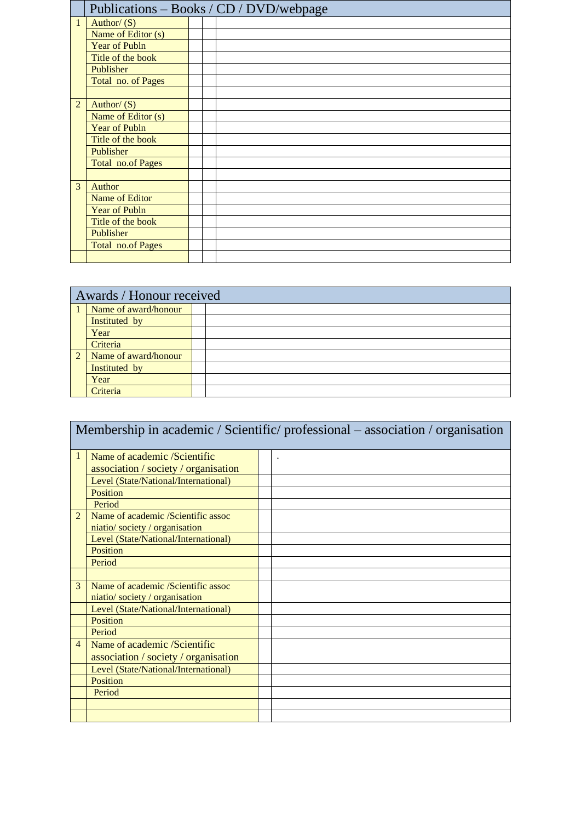|                |                          |  | Publications – Books / CD / DVD/webpage |
|----------------|--------------------------|--|-----------------------------------------|
| $\mathbf{1}$   | Author/ $(S)$            |  |                                         |
|                | Name of Editor (s)       |  |                                         |
|                | <b>Year of Publn</b>     |  |                                         |
|                | Title of the book        |  |                                         |
|                | Publisher                |  |                                         |
|                | Total no. of Pages       |  |                                         |
|                |                          |  |                                         |
| $\overline{2}$ | Author/ $(S)$            |  |                                         |
|                | Name of Editor $(s)$     |  |                                         |
|                | <b>Year of Publn</b>     |  |                                         |
|                | Title of the book        |  |                                         |
|                | Publisher                |  |                                         |
|                | <b>Total no.of Pages</b> |  |                                         |
|                |                          |  |                                         |
| $\mathcal{E}$  | Author                   |  |                                         |
|                | Name of Editor           |  |                                         |
|                | <b>Year of Publn</b>     |  |                                         |
|                | Title of the book        |  |                                         |
|                | Publisher                |  |                                         |
|                | <b>Total no.of Pages</b> |  |                                         |
|                |                          |  |                                         |

|            | Awards / Honour received |  |  |  |  |
|------------|--------------------------|--|--|--|--|
|            | Name of award/honour     |  |  |  |  |
|            | Instituted by            |  |  |  |  |
|            | Year                     |  |  |  |  |
|            | Criteria                 |  |  |  |  |
| $\sqrt{2}$ | Name of award/honour     |  |  |  |  |
|            | Instituted by            |  |  |  |  |
|            | Year                     |  |  |  |  |
|            | Criteria                 |  |  |  |  |

|                          | Membership in academic / Scientific/ professional – association / organisation |  |  |  |  |  |
|--------------------------|--------------------------------------------------------------------------------|--|--|--|--|--|
| 1                        | Name of academic /Scientific<br>association / society / organisation           |  |  |  |  |  |
|                          | Level (State/National/International)                                           |  |  |  |  |  |
|                          | <b>Position</b>                                                                |  |  |  |  |  |
|                          | Period                                                                         |  |  |  |  |  |
| $\mathfrak{D}$           | Name of academic /Scientific assoc<br>niatio/society/organisation              |  |  |  |  |  |
|                          | Level (State/National/International)                                           |  |  |  |  |  |
|                          | <b>Position</b>                                                                |  |  |  |  |  |
|                          | Period                                                                         |  |  |  |  |  |
|                          |                                                                                |  |  |  |  |  |
| $\overline{\mathcal{E}}$ | Name of academic /Scientific assoc                                             |  |  |  |  |  |
|                          | niatio/society/organisation                                                    |  |  |  |  |  |
|                          | Level (State/National/International)                                           |  |  |  |  |  |
|                          | <b>Position</b>                                                                |  |  |  |  |  |
|                          | Period                                                                         |  |  |  |  |  |
| $\overline{4}$           | Name of academic /Scientific                                                   |  |  |  |  |  |
|                          | association / society / organisation                                           |  |  |  |  |  |
|                          | Level (State/National/International)                                           |  |  |  |  |  |
|                          | Position                                                                       |  |  |  |  |  |
|                          | Period                                                                         |  |  |  |  |  |
|                          |                                                                                |  |  |  |  |  |
|                          |                                                                                |  |  |  |  |  |